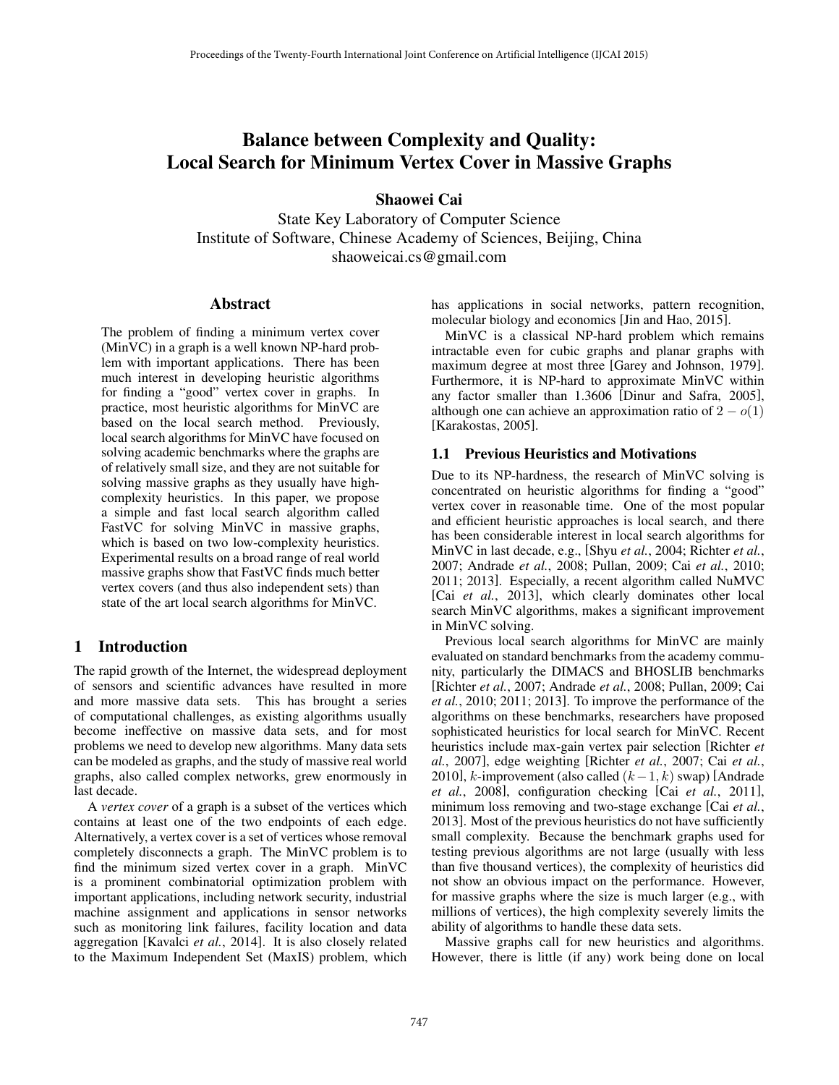# Balance between Complexity and Quality: Local Search for Minimum Vertex Cover in Massive Graphs

Shaowei Cai

State Key Laboratory of Computer Science Institute of Software, Chinese Academy of Sciences, Beijing, China shaoweicai.cs@gmail.com

## Abstract

The problem of finding a minimum vertex cover (MinVC) in a graph is a well known NP-hard problem with important applications. There has been much interest in developing heuristic algorithms for finding a "good" vertex cover in graphs. In practice, most heuristic algorithms for MinVC are based on the local search method. Previously, local search algorithms for MinVC have focused on solving academic benchmarks where the graphs are of relatively small size, and they are not suitable for solving massive graphs as they usually have highcomplexity heuristics. In this paper, we propose a simple and fast local search algorithm called FastVC for solving MinVC in massive graphs, which is based on two low-complexity heuristics. Experimental results on a broad range of real world massive graphs show that FastVC finds much better vertex covers (and thus also independent sets) than state of the art local search algorithms for MinVC.

# 1 Introduction

The rapid growth of the Internet, the widespread deployment of sensors and scientific advances have resulted in more and more massive data sets. This has brought a series of computational challenges, as existing algorithms usually become ineffective on massive data sets, and for most problems we need to develop new algorithms. Many data sets can be modeled as graphs, and the study of massive real world graphs, also called complex networks, grew enormously in last decade.

A *vertex cover* of a graph is a subset of the vertices which contains at least one of the two endpoints of each edge. Alternatively, a vertex cover is a set of vertices whose removal completely disconnects a graph. The MinVC problem is to find the minimum sized vertex cover in a graph. MinVC is a prominent combinatorial optimization problem with important applications, including network security, industrial machine assignment and applications in sensor networks such as monitoring link failures, facility location and data aggregation [Kavalci *et al.*, 2014]. It is also closely related to the Maximum Independent Set (MaxIS) problem, which has applications in social networks, pattern recognition, molecular biology and economics [Jin and Hao, 2015].

MinVC is a classical NP-hard problem which remains intractable even for cubic graphs and planar graphs with maximum degree at most three [Garey and Johnson, 1979]. Furthermore, it is NP-hard to approximate MinVC within any factor smaller than 1.3606 [Dinur and Safra, 2005], although one can achieve an approximation ratio of  $2 - o(1)$ [Karakostas, 2005].

# 1.1 Previous Heuristics and Motivations

Due to its NP-hardness, the research of MinVC solving is concentrated on heuristic algorithms for finding a "good" vertex cover in reasonable time. One of the most popular and efficient heuristic approaches is local search, and there has been considerable interest in local search algorithms for MinVC in last decade, e.g., [Shyu *et al.*, 2004; Richter *et al.*, 2007; Andrade *et al.*, 2008; Pullan, 2009; Cai *et al.*, 2010; 2011; 2013]. Especially, a recent algorithm called NuMVC [Cai *et al.*, 2013], which clearly dominates other local search MinVC algorithms, makes a significant improvement in MinVC solving.

Previous local search algorithms for MinVC are mainly evaluated on standard benchmarks from the academy community, particularly the DIMACS and BHOSLIB benchmarks [Richter *et al.*, 2007; Andrade *et al.*, 2008; Pullan, 2009; Cai *et al.*, 2010; 2011; 2013]. To improve the performance of the algorithms on these benchmarks, researchers have proposed sophisticated heuristics for local search for MinVC. Recent heuristics include max-gain vertex pair selection [Richter *et al.*, 2007], edge weighting [Richter *et al.*, 2007; Cai *et al.*, 2010], k-improvement (also called  $(k-1, k)$  swap) [Andrade *et al.*, 2008], configuration checking [Cai *et al.*, 2011], minimum loss removing and two-stage exchange [Cai *et al.*, 2013]. Most of the previous heuristics do not have sufficiently small complexity. Because the benchmark graphs used for testing previous algorithms are not large (usually with less than five thousand vertices), the complexity of heuristics did not show an obvious impact on the performance. However, for massive graphs where the size is much larger (e.g., with millions of vertices), the high complexity severely limits the ability of algorithms to handle these data sets.

Massive graphs call for new heuristics and algorithms. However, there is little (if any) work being done on local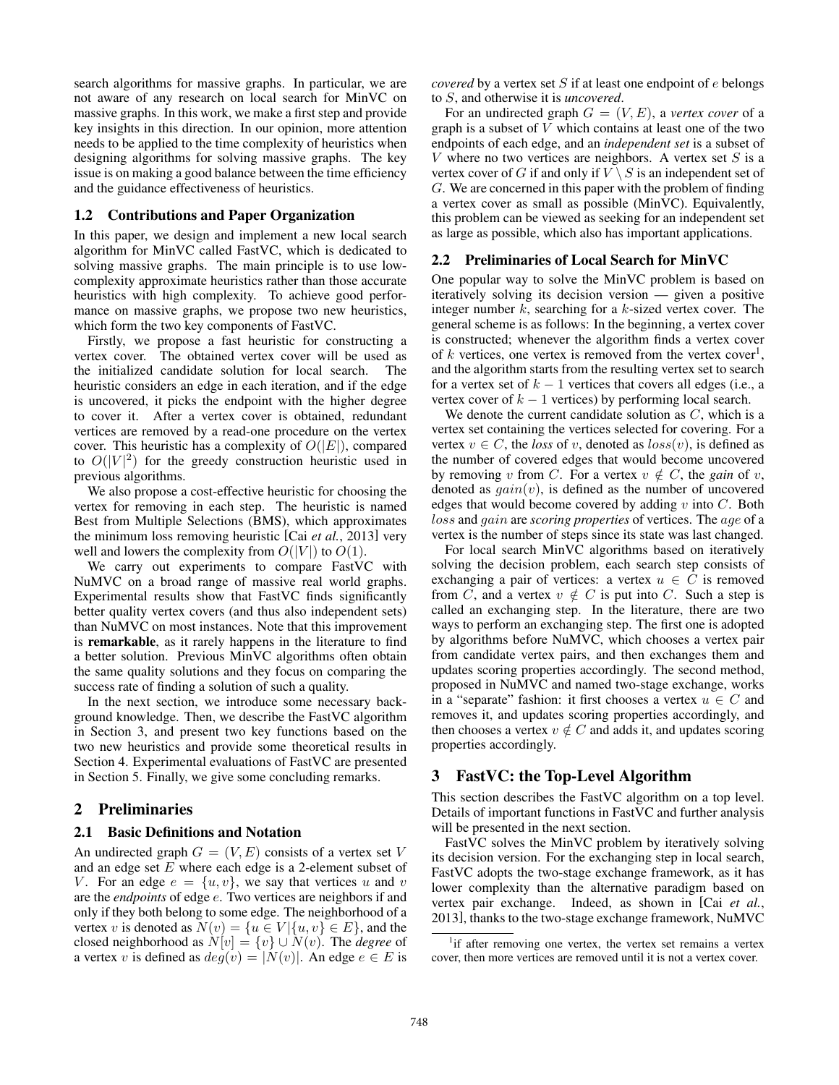search algorithms for massive graphs. In particular, we are not aware of any research on local search for MinVC on massive graphs. In this work, we make a first step and provide key insights in this direction. In our opinion, more attention needs to be applied to the time complexity of heuristics when designing algorithms for solving massive graphs. The key issue is on making a good balance between the time efficiency and the guidance effectiveness of heuristics.

#### 1.2 Contributions and Paper Organization

In this paper, we design and implement a new local search algorithm for MinVC called FastVC, which is dedicated to solving massive graphs. The main principle is to use lowcomplexity approximate heuristics rather than those accurate heuristics with high complexity. To achieve good performance on massive graphs, we propose two new heuristics, which form the two key components of FastVC.

Firstly, we propose a fast heuristic for constructing a vertex cover. The obtained vertex cover will be used as the initialized candidate solution for local search. The heuristic considers an edge in each iteration, and if the edge is uncovered, it picks the endpoint with the higher degree to cover it. After a vertex cover is obtained, redundant vertices are removed by a read-one procedure on the vertex cover. This heuristic has a complexity of  $O(|E|)$ , compared to  $O(|V|^2)$  for the greedy construction heuristic used in previous algorithms.

We also propose a cost-effective heuristic for choosing the vertex for removing in each step. The heuristic is named Best from Multiple Selections (BMS), which approximates the minimum loss removing heuristic [Cai *et al.*, 2013] very well and lowers the complexity from  $O(|V|)$  to  $O(1)$ .

We carry out experiments to compare FastVC with NuMVC on a broad range of massive real world graphs. Experimental results show that FastVC finds significantly better quality vertex covers (and thus also independent sets) than NuMVC on most instances. Note that this improvement is remarkable, as it rarely happens in the literature to find a better solution. Previous MinVC algorithms often obtain the same quality solutions and they focus on comparing the success rate of finding a solution of such a quality.

In the next section, we introduce some necessary background knowledge. Then, we describe the FastVC algorithm in Section 3, and present two key functions based on the two new heuristics and provide some theoretical results in Section 4. Experimental evaluations of FastVC are presented in Section 5. Finally, we give some concluding remarks.

# 2 Preliminaries

# 2.1 Basic Definitions and Notation

An undirected graph  $G = (V, E)$  consists of a vertex set V and an edge set  $E$  where each edge is a 2-element subset of V. For an edge  $e = \{u, v\}$ , we say that vertices u and v are the *endpoints* of edge e. Two vertices are neighbors if and only if they both belong to some edge. The neighborhood of a vertex v is denoted as  $N(v) = \{u \in V | \{u, v\} \in E\}$ , and the closed neighborhood as  $N[v] = \{v\} \cup N(v)$ . The *degree* of a vertex v is defined as  $deg(v) = |N(v)|$ . An edge  $e \in E$  is *covered* by a vertex set  $S$  if at least one endpoint of  $e$  belongs to S, and otherwise it is *uncovered*.

For an undirected graph  $G = (V, E)$ , a *vertex cover* of a graph is a subset of  $V$  which contains at least one of the two endpoints of each edge, and an *independent set* is a subset of V where no two vertices are neighbors. A vertex set  $S$  is a vertex cover of G if and only if  $V \setminus S$  is an independent set of G. We are concerned in this paper with the problem of finding a vertex cover as small as possible (MinVC). Equivalently, this problem can be viewed as seeking for an independent set as large as possible, which also has important applications.

#### 2.2 Preliminaries of Local Search for MinVC

One popular way to solve the MinVC problem is based on iteratively solving its decision version — given a positive integer number  $k$ , searching for a  $k$ -sized vertex cover. The general scheme is as follows: In the beginning, a vertex cover is constructed; whenever the algorithm finds a vertex cover of  $k$  vertices, one vertex is removed from the vertex cover<sup>1</sup>, and the algorithm starts from the resulting vertex set to search for a vertex set of  $k - 1$  vertices that covers all edges (i.e., a vertex cover of  $k - 1$  vertices) by performing local search.

We denote the current candidate solution as  $C$ , which is a vertex set containing the vertices selected for covering. For a vertex  $v \in C$ , the *loss* of v, denoted as  $loss(v)$ , is defined as the number of covered edges that would become uncovered by removing v from C. For a vertex  $v \notin C$ , the *gain* of v, denoted as  $gain(v)$ , is defined as the number of uncovered edges that would become covered by adding  $v$  into  $C$ . Both loss and gain are *scoring properties* of vertices. The age of a vertex is the number of steps since its state was last changed.

For local search MinVC algorithms based on iteratively solving the decision problem, each search step consists of exchanging a pair of vertices: a vertex  $u \in C$  is removed from  $\tilde{C}$ , and a vertex  $v \notin C$  is put into C. Such a step is called an exchanging step. In the literature, there are two ways to perform an exchanging step. The first one is adopted by algorithms before NuMVC, which chooses a vertex pair from candidate vertex pairs, and then exchanges them and updates scoring properties accordingly. The second method, proposed in NuMVC and named two-stage exchange, works in a "separate" fashion: it first chooses a vertex  $u \in C$  and removes it, and updates scoring properties accordingly, and then chooses a vertex  $v \notin C$  and adds it, and updates scoring properties accordingly.

### 3 FastVC: the Top-Level Algorithm

This section describes the FastVC algorithm on a top level. Details of important functions in FastVC and further analysis will be presented in the next section.

FastVC solves the MinVC problem by iteratively solving its decision version. For the exchanging step in local search, FastVC adopts the two-stage exchange framework, as it has lower complexity than the alternative paradigm based on vertex pair exchange. Indeed, as shown in [Cai *et al.*, 2013], thanks to the two-stage exchange framework, NuMVC

<sup>&</sup>lt;sup>1</sup>if after removing one vertex, the vertex set remains a vertex cover, then more vertices are removed until it is not a vertex cover.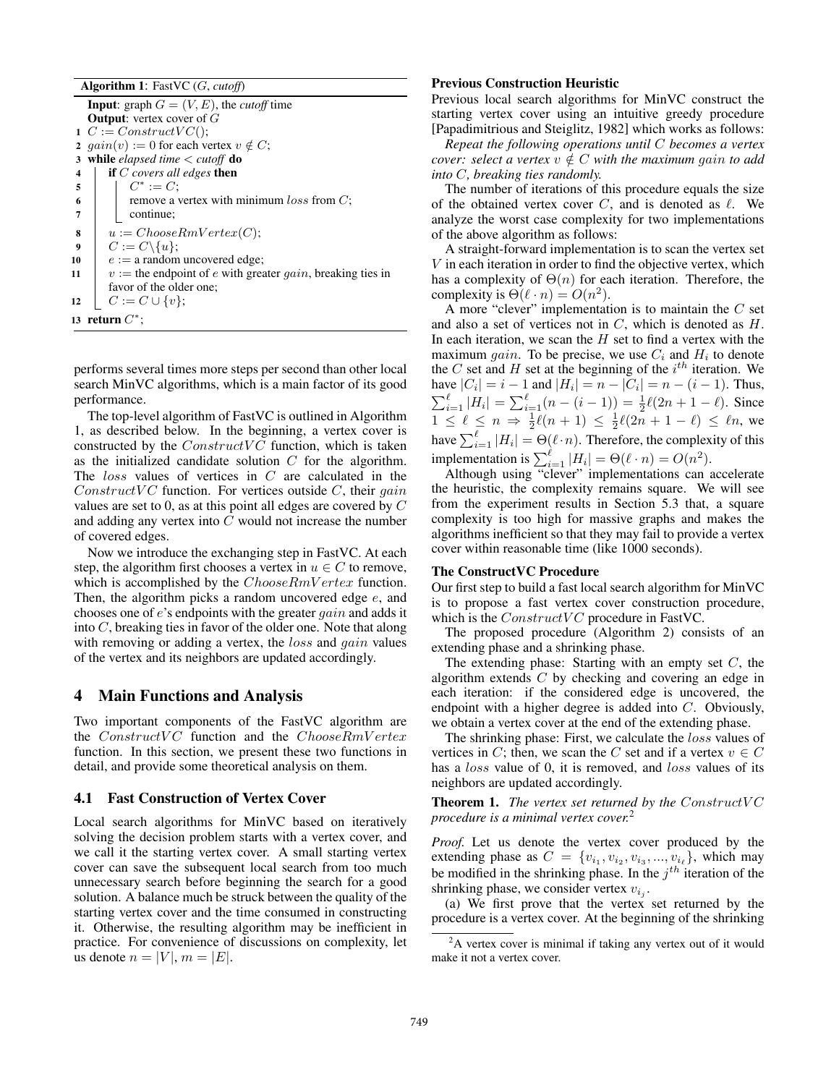Algorithm 1: FastVC (G, *cutoff*)

**Input:** graph  $G = (V, E)$ , the *cutoff* time **Output:** vertex cover of G  $C := ConstructVC$ ;  $gain(v) := 0$  for each vertex  $v \notin C$ ; while *elapsed time* < *cutoff* do if C *covers all edges* then  $\Big| \ \ \ \Big| \ \ C^* := C;$ **remove a vertex with minimum** loss from  $C$ ; continue;  $u := ChooseRmVertex(C);$  $C := C \setminus \{u\};$  $e := a$  random uncovered edge;  $v :=$  the endpoint of e with greater gain, breaking ties in favor of the older one;  $\mid C := C \cup \{v\};$ 13 return  $C^*$ ;

performs several times more steps per second than other local search MinVC algorithms, which is a main factor of its good performance.

The top-level algorithm of FastVC is outlined in Algorithm 1, as described below. In the beginning, a vertex cover is constructed by the  $ConstructVC$  function, which is taken as the initialized candidate solution C for the algorithm. The loss values of vertices in C are calculated in the Construct VC function. For vertices outside C, their gain values are set to 0, as at this point all edges are covered by C and adding any vertex into C would not increase the number of covered edges.

Now we introduce the exchanging step in FastVC. At each step, the algorithm first chooses a vertex in  $u \in C$  to remove. which is accomplished by the *ChooseRmV ertex* function. Then, the algorithm picks a random uncovered edge  $e$ , and chooses one of e's endpoints with the greater gain and adds it into C, breaking ties in favor of the older one. Note that along with removing or adding a vertex, the *loss* and *gain* values of the vertex and its neighbors are updated accordingly.

# 4 Main Functions and Analysis

Two important components of the FastVC algorithm are the  $ConstructVC$  function and the  $ChooseRmVertex$ function. In this section, we present these two functions in detail, and provide some theoretical analysis on them.

#### 4.1 Fast Construction of Vertex Cover

Local search algorithms for MinVC based on iteratively solving the decision problem starts with a vertex cover, and we call it the starting vertex cover. A small starting vertex cover can save the subsequent local search from too much unnecessary search before beginning the search for a good solution. A balance much be struck between the quality of the starting vertex cover and the time consumed in constructing it. Otherwise, the resulting algorithm may be inefficient in practice. For convenience of discussions on complexity, let us denote  $n = |V|, m = |E|$ .

#### Previous Construction Heuristic

Previous local search algorithms for MinVC construct the starting vertex cover using an intuitive greedy procedure [Papadimitrious and Steiglitz, 1982] which works as follows:

*Repeat the following operations until* C *becomes a vertex cover: select a vertex*  $v \notin C$  *with the maximum gain to add into* C*, breaking ties randomly.*

The number of iterations of this procedure equals the size of the obtained vertex cover  $C$ , and is denoted as  $\ell$ . We analyze the worst case complexity for two implementations of the above algorithm as follows:

A straight-forward implementation is to scan the vertex set V in each iteration in order to find the objective vertex, which has a complexity of  $\Theta(n)$  for each iteration. Therefore, the complexity is  $\Theta(\ell \cdot n) = O(n^2)$ .

A more "clever" implementation is to maintain the  $C$  set and also a set of vertices not in  $C$ , which is denoted as  $H$ . In each iteration, we scan the  $H$  set to find a vertex with the maximum *gain*. To be precise, we use  $C_i$  and  $H_i$  to denote the C set and H set at the beginning of the  $i^{th}$  iteration. We have  $|C_i| = i - 1$  and  $|H_i| = n - |C_i| = n - (i - 1)$ . Thus,  $\sum_{i=1}^{\ell} |H_i| = \sum_{i=1}^{\ell} (n - (i-1)) = \frac{1}{2}\ell(2n + 1 - \ell)$ . Since  $1 \leq \ell \leq n \Rightarrow \frac{1}{2}\ell(n+1) \leq \frac{1}{2}\ell(2n+1-\ell) \leq \ell n$ , we have  $\sum_{i=1}^{\ell} |H_i| = \Theta(\ell \cdot n)$ . Therefore, the complexity of this implementation is  $\sum_{i=1}^{\ell} |H_i| = \Theta(\ell \cdot n) = O(n^2)$ .

Although using "clever" implementations can accelerate the heuristic, the complexity remains square. We will see from the experiment results in Section 5.3 that, a square complexity is too high for massive graphs and makes the algorithms inefficient so that they may fail to provide a vertex cover within reasonable time (like 1000 seconds).

#### The ConstructVC Procedure

Our first step to build a fast local search algorithm for MinVC is to propose a fast vertex cover construction procedure, which is the  $ConstructVC$  procedure in FastVC.

The proposed procedure (Algorithm 2) consists of an extending phase and a shrinking phase.

The extending phase: Starting with an empty set  $C$ , the algorithm extends  $C$  by checking and covering an edge in each iteration: if the considered edge is uncovered, the endpoint with a higher degree is added into C. Obviously, we obtain a vertex cover at the end of the extending phase.

The shrinking phase: First, we calculate the *loss* values of vertices in C; then, we scan the C set and if a vertex  $v \in C$ has a *loss* value of 0, it is removed, and *loss* values of its neighbors are updated accordingly.

**Theorem 1.** *The vertex set returned by the ConstructVC procedure is a minimal vertex cover.*<sup>2</sup>

*Proof.* Let us denote the vertex cover produced by the extending phase as  $C = \{v_{i_1}, v_{i_2}, v_{i_3}, ..., v_{i_\ell}\}\$ , which may be modified in the shrinking phase. In the  $j<sup>th</sup>$  iteration of the shrinking phase, we consider vertex  $v_{i_j}$ .

(a) We first prove that the vertex set returned by the procedure is a vertex cover. At the beginning of the shrinking

<sup>&</sup>lt;sup>2</sup>A vertex cover is minimal if taking any vertex out of it would make it not a vertex cover.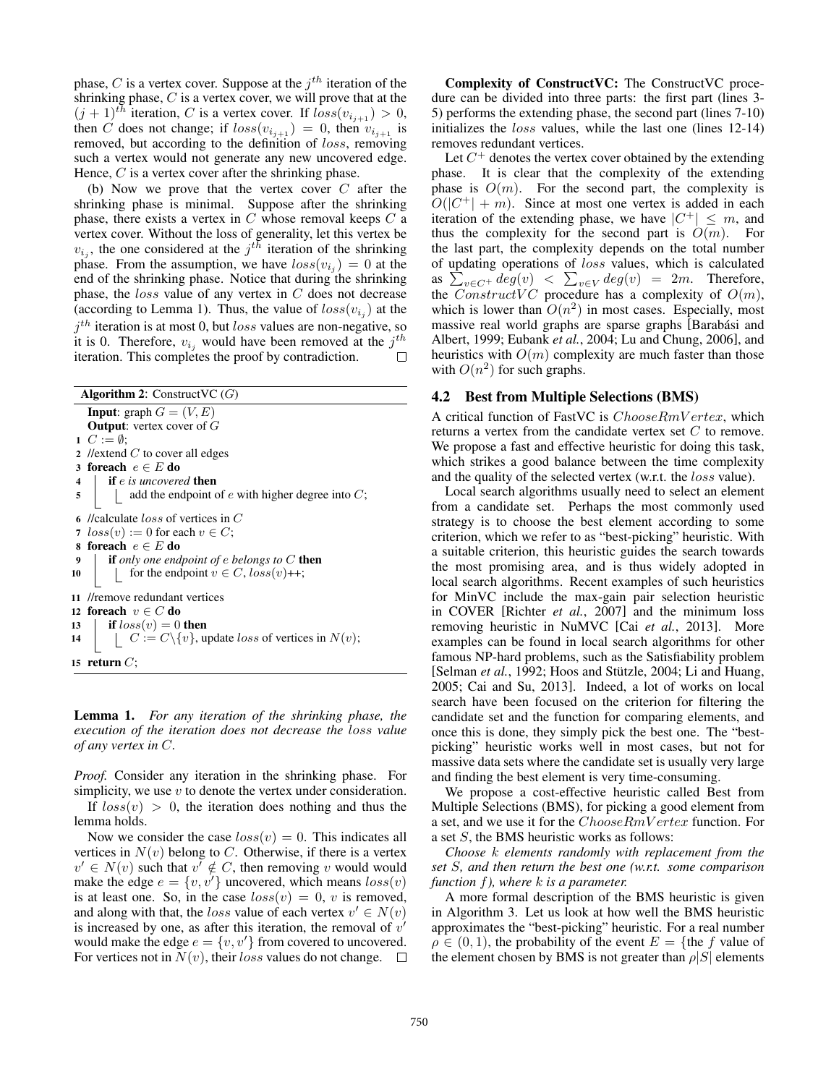phase, C is a vertex cover. Suppose at the  $j<sup>th</sup>$  iteration of the shrinking phase,  $C$  is a vertex cover, we will prove that at the  $(j + 1)^{th}$  iteration, C is a vertex cover. If  $loss(v_{i_{i+1}}) > 0$ , then C does not change; if  $loss(v_{i_{i+1}}) = 0$ , then  $v_{i_{i+1}}$  is removed, but according to the definition of *loss*, removing such a vertex would not generate any new uncovered edge. Hence,  $C$  is a vertex cover after the shrinking phase.

(b) Now we prove that the vertex cover  $C$  after the shrinking phase is minimal. Suppose after the shrinking phase, there exists a vertex in  $C$  whose removal keeps  $C$  a vertex cover. Without the loss of generality, let this vertex be  $v_{i_j}$ , the one considered at the  $j^{th}$  iteration of the shrinking phase. From the assumption, we have  $loss(v_{i_j}) = 0$  at the end of the shrinking phase. Notice that during the shrinking phase, the  $loss$  value of any vertex in  $C$  does not decrease (according to Lemma 1). Thus, the value of  $loss(v_{i_j})$  at the  $j<sup>th</sup>$  iteration is at most 0, but *loss* values are non-negative, so it is 0. Therefore,  $v_{i_j}$  would have been removed at the  $j^{th}$ iteration. This completes the proof by contradiction.

Algorithm 2: ConstructVC  $(G)$ **Input:** graph  $G = (V, E)$ **Output:** vertex cover of  $G$ 1  $C := \emptyset$ ; 2 //extend  $C$  to cover all edges 3 foreach  $e \in E$  do 4 if e *is uncovered* then  $\mathbf{5}$  | add the endpoint of e with higher degree into C; 6 //calculate loss of vertices in C 7  $loss(v) := 0$  for each  $v \in C$ ; 8 foreach  $e \in E$  do 9 if *only one endpoint of* e *belongs to* C then 10 for the endpoint  $v \in C$ ,  $loss(v)$ ++; 11 //remove redundant vertices 12 foreach  $v \in C$  do 13 **if**  $loss(v) = 0$  then 14  $\mid C := C \setminus \{v\}$ , update *loss* of vertices in  $N(v)$ ; 15 return  $C$ ;

Lemma 1. *For any iteration of the shrinking phase, the execution of the iteration does not decrease the* loss *value of any vertex in* C*.*

*Proof.* Consider any iteration in the shrinking phase. For simplicity, we use  $v$  to denote the vertex under consideration.

If  $loss(v) > 0$ , the iteration does nothing and thus the lemma holds.

Now we consider the case  $loss(v) = 0$ . This indicates all vertices in  $N(v)$  belong to C. Otherwise, if there is a vertex  $v' \in N(v)$  such that  $v' \notin C$ , then removing v would would make the edge  $e = \{v, v'\}$  uncovered, which means  $loss(v)$ is at least one. So, in the case  $loss(v) = 0$ , v is removed, and along with that, the loss value of each vertex  $v' \in N(v)$ is increased by one, as after this iteration, the removal of  $v'$ would make the edge  $e = \{v, v'\}$  from covered to uncovered. For vertices not in  $N(v)$ , their loss values do not change.  $\Box$ 

Complexity of ConstructVC: The ConstructVC procedure can be divided into three parts: the first part (lines 3- 5) performs the extending phase, the second part (lines 7-10) initializes the *loss* values, while the last one (lines 12-14) removes redundant vertices.

Let  $C^+$  denotes the vertex cover obtained by the extending phase. It is clear that the complexity of the extending phase is  $O(m)$ . For the second part, the complexity is  $O(|C^+| + m)$ . Since at most one vertex is added in each iteration of the extending phase, we have  $|C^+| \leq m$ , and thus the complexity for the second part is  $O(m)$ . For the last part, the complexity depends on the total number of updating operations of loss values, which is calculated as  $\sum_{v \in C^+} deg(v) < \sum_{v \in V} deg(v) = 2m$ . Therefore, the ConstructVC procedure has a complexity of  $O(m)$ , which is lower than  $O(n^2)$  in most cases. Especially, most massive real world graphs are sparse graphs [Barabási and Albert, 1999; Eubank *et al.*, 2004; Lu and Chung, 2006], and heuristics with  $O(m)$  complexity are much faster than those with  $O(n^2)$  for such graphs.

#### 4.2 Best from Multiple Selections (BMS)

A critical function of FastVC is *ChooseRmV ertex*, which returns a vertex from the candidate vertex set C to remove. We propose a fast and effective heuristic for doing this task, which strikes a good balance between the time complexity and the quality of the selected vertex (w.r.t. the *loss* value).

Local search algorithms usually need to select an element from a candidate set. Perhaps the most commonly used strategy is to choose the best element according to some criterion, which we refer to as "best-picking" heuristic. With a suitable criterion, this heuristic guides the search towards the most promising area, and is thus widely adopted in local search algorithms. Recent examples of such heuristics for MinVC include the max-gain pair selection heuristic in COVER [Richter *et al.*, 2007] and the minimum loss removing heuristic in NuMVC [Cai *et al.*, 2013]. More examples can be found in local search algorithms for other famous NP-hard problems, such as the Satisfiability problem [Selman *et al.*, 1992; Hoos and Stützle, 2004; Li and Huang, 2005; Cai and Su, 2013]. Indeed, a lot of works on local search have been focused on the criterion for filtering the candidate set and the function for comparing elements, and once this is done, they simply pick the best one. The "bestpicking" heuristic works well in most cases, but not for massive data sets where the candidate set is usually very large and finding the best element is very time-consuming.

We propose a cost-effective heuristic called Best from Multiple Selections (BMS), for picking a good element from a set, and we use it for the ChooseRmV ertex function. For a set  $S$ , the BMS heuristic works as follows:

*Choose* k *elements randomly with replacement from the set* S*, and then return the best one (w.r.t. some comparison function* f*), where* k *is a parameter.*

A more formal description of the BMS heuristic is given in Algorithm 3. Let us look at how well the BMS heuristic approximates the "best-picking" heuristic. For a real number  $\rho \in (0,1)$ , the probability of the event  $E = \{$ the f value of the element chosen by BMS is not greater than  $\rho|S|$  elements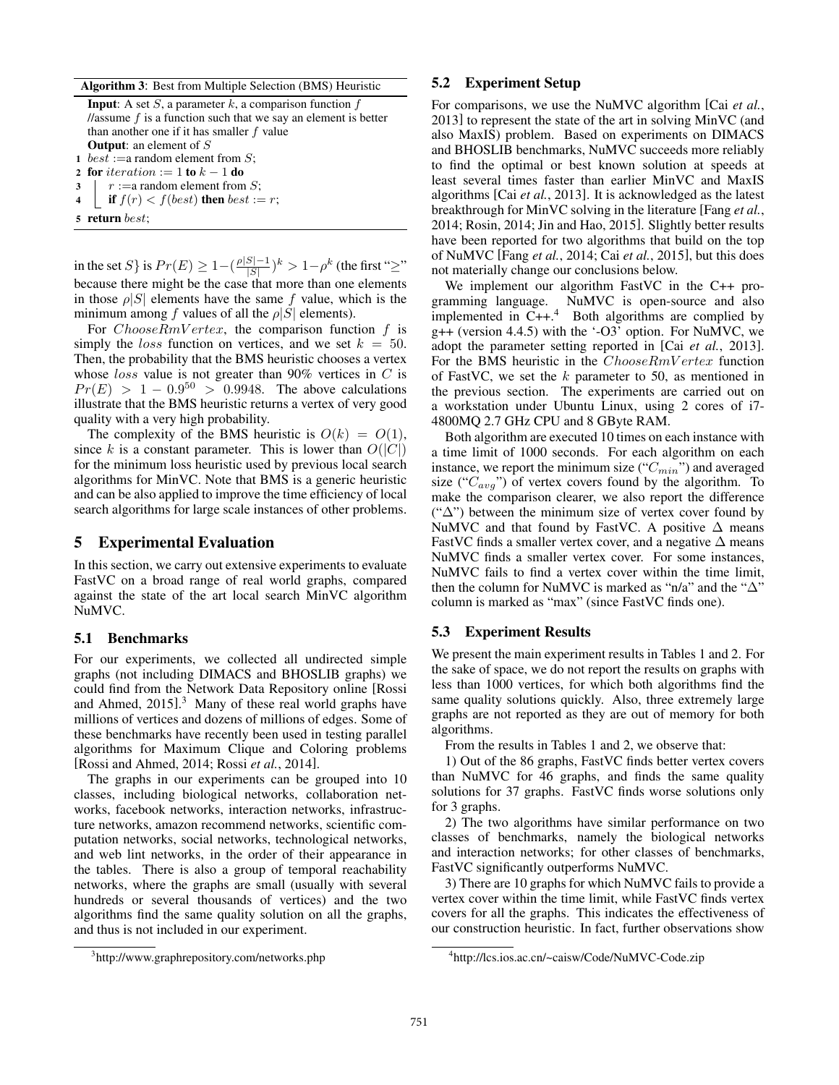Algorithm 3: Best from Multiple Selection (BMS) Heuristic

**Input:** A set  $S$ , a parameter  $k$ , a comparison function  $f$ //assume  $f$  is a function such that we say an element is better than another one if it has smaller  $f$  value **Output:** an element of S 1 *best* := a random element from  $S$ ;

2 for iteration  $:= 1$  to  $k - 1$  do

```
3 \mid r :=a random element from S;
```
- 4 **if**  $f(r) < f(best)$  then best := r;
- 5 return best;

in the set S } is  $Pr(E) \geq 1 - (\frac{\rho|S|-1}{|S|})$  $\frac{|S|-1}{|S|}$ ) $^k > 1 - \rho^k$  (the first "≥" because there might be the case that more than one elements in those  $\rho|S|$  elements have the same f value, which is the minimum among f values of all the  $\rho|S|$  elements).

For  $ChooseRmVertex$ , the comparison function f is simply the *loss* function on vertices, and we set  $k = 50$ . Then, the probability that the BMS heuristic chooses a vertex whose  $loss$  value is not greater than 90% vertices in  $C$  is  $Pr(E) > 1 - 0.9^{50} > 0.9948$ . The above calculations illustrate that the BMS heuristic returns a vertex of very good quality with a very high probability.

The complexity of the BMS heuristic is  $O(k) = O(1)$ , since k is a constant parameter. This is lower than  $O(|C|)$ for the minimum loss heuristic used by previous local search algorithms for MinVC. Note that BMS is a generic heuristic and can be also applied to improve the time efficiency of local search algorithms for large scale instances of other problems.

#### 5 Experimental Evaluation

In this section, we carry out extensive experiments to evaluate FastVC on a broad range of real world graphs, compared against the state of the art local search MinVC algorithm NuMVC.

#### 5.1 Benchmarks

For our experiments, we collected all undirected simple graphs (not including DIMACS and BHOSLIB graphs) we could find from the Network Data Repository online [Rossi and Ahmed, 2015]. <sup>3</sup> Many of these real world graphs have millions of vertices and dozens of millions of edges. Some of these benchmarks have recently been used in testing parallel algorithms for Maximum Clique and Coloring problems [Rossi and Ahmed, 2014; Rossi *et al.*, 2014].

The graphs in our experiments can be grouped into 10 classes, including biological networks, collaboration networks, facebook networks, interaction networks, infrastructure networks, amazon recommend networks, scientific computation networks, social networks, technological networks, and web lint networks, in the order of their appearance in the tables. There is also a group of temporal reachability networks, where the graphs are small (usually with several hundreds or several thousands of vertices) and the two algorithms find the same quality solution on all the graphs, and thus is not included in our experiment.

#### 5.2 Experiment Setup

For comparisons, we use the NuMVC algorithm [Cai *et al.*, 2013] to represent the state of the art in solving MinVC (and also MaxIS) problem. Based on experiments on DIMACS and BHOSLIB benchmarks, NuMVC succeeds more reliably to find the optimal or best known solution at speeds at least several times faster than earlier MinVC and MaxIS algorithms [Cai *et al.*, 2013]. It is acknowledged as the latest breakthrough for MinVC solving in the literature [Fang *et al.*, 2014; Rosin, 2014; Jin and Hao, 2015]. Slightly better results have been reported for two algorithms that build on the top of NuMVC [Fang *et al.*, 2014; Cai *et al.*, 2015], but this does not materially change our conclusions below.

We implement our algorithm FastVC in the C++ programming language. NuMVC is open-source and also implemented in  $C_{++}$ <sup>4</sup> Both algorithms are complied by g++ (version 4.4.5) with the '-O3' option. For NuMVC, we adopt the parameter setting reported in [Cai *et al.*, 2013]. For the BMS heuristic in the ChooseRmV ertex function of FastVC, we set the  $k$  parameter to 50, as mentioned in the previous section. The experiments are carried out on a workstation under Ubuntu Linux, using 2 cores of i7- 4800MQ 2.7 GHz CPU and 8 GByte RAM.

Both algorithm are executed 10 times on each instance with a time limit of 1000 seconds. For each algorithm on each instance, we report the minimum size (" $C_{min}$ ") and averaged size (" $C_{avg}$ ") of vertex covers found by the algorithm. To make the comparison clearer, we also report the difference (" $\Delta$ ") between the minimum size of vertex cover found by NuMVC and that found by FastVC. A positive  $\Delta$  means FastVC finds a smaller vertex cover, and a negative  $\Delta$  means NuMVC finds a smaller vertex cover. For some instances, NuMVC fails to find a vertex cover within the time limit, then the column for NuMVC is marked as "n/a" and the " $\Delta$ " column is marked as "max" (since FastVC finds one).

#### 5.3 Experiment Results

We present the main experiment results in Tables 1 and 2. For the sake of space, we do not report the results on graphs with less than 1000 vertices, for which both algorithms find the same quality solutions quickly. Also, three extremely large graphs are not reported as they are out of memory for both algorithms.

From the results in Tables 1 and 2, we observe that:

1) Out of the 86 graphs, FastVC finds better vertex covers than NuMVC for 46 graphs, and finds the same quality solutions for 37 graphs. FastVC finds worse solutions only for 3 graphs.

2) The two algorithms have similar performance on two classes of benchmarks, namely the biological networks and interaction networks; for other classes of benchmarks, FastVC significantly outperforms NuMVC.

3) There are 10 graphs for which NuMVC fails to provide a vertex cover within the time limit, while FastVC finds vertex covers for all the graphs. This indicates the effectiveness of our construction heuristic. In fact, further observations show

<sup>3</sup> http://www.graphrepository.com/networks.php

<sup>4</sup> http://lcs.ios.ac.cn/~caisw/Code/NuMVC-Code.zip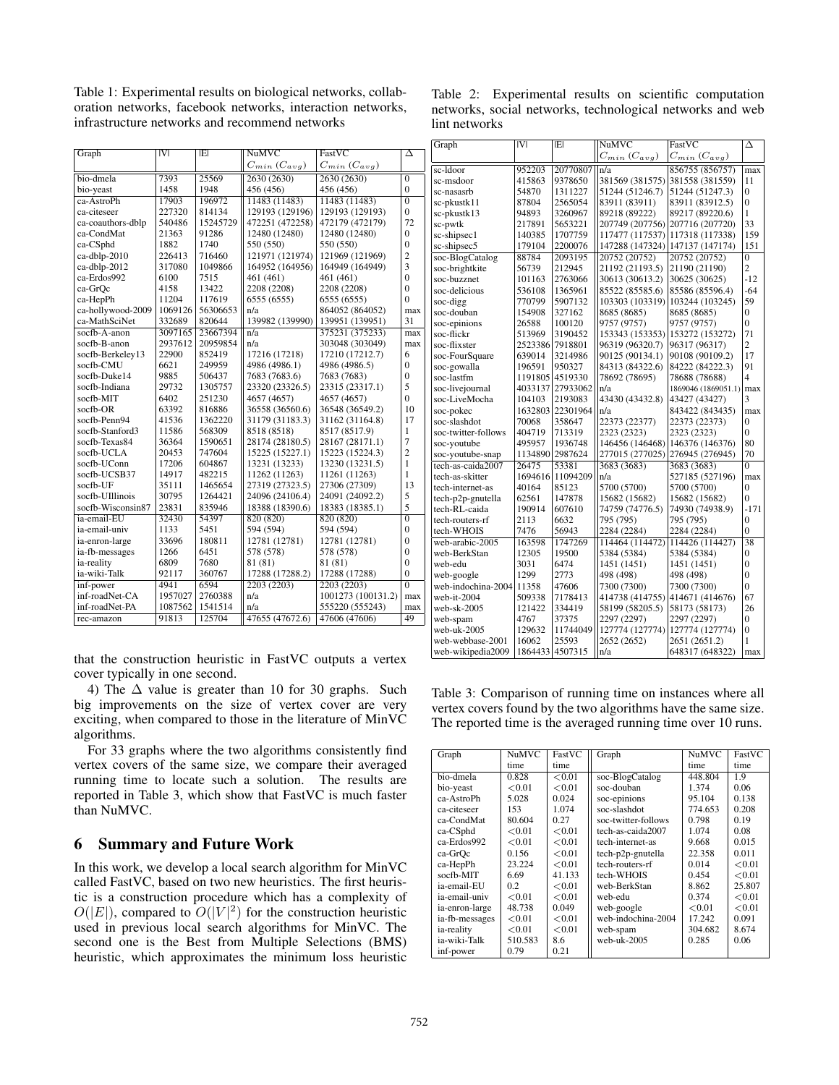Table 1: Experimental results on biological networks, collaboration networks, facebook networks, interaction networks, infrastructure networks and recommend networks

| Graph             | V       | IEI      | <b>NuMVC</b>          | FastVC                | Δ              |
|-------------------|---------|----------|-----------------------|-----------------------|----------------|
|                   |         |          | $C_{min}$ $(C_{avg})$ | $C_{min}$ $(C_{avg})$ |                |
| bio-dmela         | 7393    | 25569    | 2630 (2630)           | 2630 (2630)           | $\overline{0}$ |
| bio-yeast         | 1458    | 1948     | 456 (456)             | 456 (456)             | $\overline{0}$ |
| ca-AstroPh        | 17903   | 196972   | 11483 (11483)         | 11483 (11483)         | $\overline{0}$ |
| ca-citeseer       | 227320  | 814134   | 129193 (129196)       | 129193 (129193)       | $\Omega$       |
| ca-coauthors-dblp | 540486  | 15245729 | 472251 (472258)       | 472179 (472179)       | 72             |
| ca-CondMat        | 21363   | 91286    | 12480 (12480)         | 12480 (12480)         | $\theta$       |
| ca-CSphd          | 1882    | 1740     | 550 (550)             | 550 (550)             | $\theta$       |
| ca-dblp-2010      | 226413  | 716460   | 121971 (121974)       | 121969 (121969)       | $\overline{2}$ |
| ca-dblp-2012      | 317080  | 1049866  | 164952 (164956)       | 164949 (164949)       | 3              |
| ca-Erdos992       | 6100    | 7515     | 461 (461)             | 461 (461)             | $\theta$       |
| ca-GrOc           | 4158    | 13422    | 2208 (2208)           | 2208 (2208)           | $\theta$       |
| ca-HepPh          | 11204   | 117619   | 6555 (6555)           | 6555 (6555)           | $\theta$       |
| ca-hollywood-2009 | 1069126 | 56306653 | n/a                   | 864052 (864052)       | max            |
| ca-MathSciNet     | 332689  | 820644   | 139982 (139990)       | 139951 (139951)       | 31             |
| socfb-A-anon      | 3097165 | 23667394 | n/a                   | 375231 (375233)       | max            |
| socfb-B-anon      | 2937612 | 20959854 | n/a                   | 303048 (303049)       | max            |
| socfb-Berkeley13  | 22900   | 852419   | 17216 (17218)         | 17210 (17212.7)       | 6              |
| socfb-CMU         | 6621    | 249959   | 4986 (4986.1)         | 4986 (4986.5)         | $\theta$       |
| socfb-Duke14      | 9885    | 506437   | 7683 (7683.6)         | 7683 (7683)           | $\theta$       |
| socfb-Indiana     | 29732   | 1305757  | 23320 (23326.5)       | 23315 (23317.1)       | 5              |
| socfb-MIT         | 6402    | 251230   | 4657 (4657)           | 4657 (4657)           | $\Omega$       |
| socfb-OR          | 63392   | 816886   | 36558 (36560.6)       | 36548 (36549.2)       | 10             |
| socfb-Penn94      | 41536   | 1362220  | 31179 (31183.3)       | 31162 (31164.8)       | 17             |
| socfb-Stanford3   | 11586   | 568309   | 8518 (8518)           | 8517 (8517.9)         | 1              |
| socfb-Texas84     | 36364   | 1590651  | 28174 (28180.5)       | 28167 (28171.1)       | 7              |
| socfb-UCLA        | 20453   | 747604   | 15225 (15227.1)       | 15223 (15224.3)       | $\overline{c}$ |
| socfb-UConn       | 17206   | 604867   | 13231 (13233)         | 13230 (13231.5)       | 1              |
| socfb-UCSB37      | 14917   | 482215   | 11262 (11263)         | 11261 (11263)         | 1              |
| socfb-UF          | 35111   | 1465654  | 27319 (27323.5)       | 27306 (27309)         | 13             |
| socfb-UIllinois   | 30795   | 1264421  | 24096 (24106.4)       | 24091 (24092.2)       | 5              |
| socfb-Wisconsin87 | 23831   | 835946   | 18388 (18390.6)       | 18383 (18385.1)       | 5              |
| ia-email-EU       | 32430   | 54397    | 820 (820)             | 820 (820)             | $\overline{0}$ |
| ia-email-univ     | 1133    | 5451     | 594 (594)             | 594 (594)             | $\overline{0}$ |
| ia-enron-large    | 33696   | 180811   | 12781 (12781)         | 12781 (12781)         | $\theta$       |
| ia-fb-messages    | 1266    | 6451     | 578 (578)             | 578 (578)             | $\mathbf{0}$   |
| ia-reality        | 6809    | 7680     | 81 (81)               | 81 (81)               | $\theta$       |
| ia-wiki-Talk      | 92117   | 360767   | 17288 (17288.2)       | 17288 (17288)         | $\theta$       |
| inf-power         | 4941    | 6594     | 2203 (2203)           | 2203 (2203)           | $\overline{0}$ |
| inf-roadNet-CA    | 1957027 | 2760388  | n/a                   | 1001273 (100131.2)    | max            |
| inf-roadNet-PA    | 1087562 | 1541514  | n/a                   | 555220 (555243)       | max            |
| rec-amazon        | 91813   | 125704   | 47655 (47672.6)       | 47606 (47606)         | 49             |
|                   |         |          |                       |                       |                |

that the construction heuristic in FastVC outputs a vertex cover typically in one second.

4) The  $\Delta$  value is greater than 10 for 30 graphs. Such big improvements on the size of vertex cover are very exciting, when compared to those in the literature of MinVC algorithms.

For 33 graphs where the two algorithms consistently find vertex covers of the same size, we compare their averaged running time to locate such a solution. The results are reported in Table 3, which show that FastVC is much faster than NuMVC.

# 6 Summary and Future Work

In this work, we develop a local search algorithm for MinVC called FastVC, based on two new heuristics. The first heuristic is a construction procedure which has a complexity of  $O(|E|)$ , compared to  $O(|V|^2)$  for the construction heuristic used in previous local search algorithms for MinVC. The second one is the Best from Multiple Selections (BMS) heuristic, which approximates the minimum loss heuristic

Table 2: Experimental results on scientific computation networks, social networks, technological networks and web lint networks

| Graph               | IVI     | IEI      | <b>NuMVC</b>          | FastVC                | Δ               |
|---------------------|---------|----------|-----------------------|-----------------------|-----------------|
|                     |         |          | $C_{min}$ $(C_{avg})$ | $C_{min}$ $(C_{avg})$ |                 |
| sc-Idoor            | 952203  | 20770807 | n/a                   | 856755 (856757)       | max             |
| sc-msdoor           | 415863  | 9378650  | 381569 (381575)       | 381558 (381559)       | 11              |
| sc-nasasrb          | 54870   | 1311227  | 51244 (51246.7)       | 51244 (51247.3)       | $\theta$        |
| sc-pkustk11         | 87804   | 2565054  | 83911 (83911)         | 83911 (83912.5)       | 0               |
| sc-pkustk13         | 94893   | 3260967  | 89218 (89222)         | 89217 (89220.6)       | 1               |
| sc-pwtk             | 217891  | 5653221  | 207749 (207756)       | 207716 (207720)       | 33              |
| sc-shipsec1         | 140385  | 1707759  | 117477 (117537)       | 117318 (117338)       | 159             |
| sc-shipsec5         | 179104  | 2200076  | 147288 (147324)       | 147137 (147174)       | 151             |
| soc-BlogCatalog     | 88784   | 2093195  | 20752 (20752)         | 20752 (20752)         | $\overline{0}$  |
| soc-brightkite      | 56739   | 212945   | 21192 (21193.5)       | 21190 (21190)         | $\overline{c}$  |
| soc-buzznet         | 101163  | 2763066  | 30613 (30613.2)       | 30625 (30625)         | $-12$           |
| soc-delicious       | 536108  | 1365961  | 85522 (85585.6)       | 85586 (85596.4)       | $-64$           |
| soc-digg            | 770799  | 5907132  | 103303 (103319)       | 103244 (103245)       | 59              |
| soc-douban          | 154908  | 327162   | 8685 (8685)           | 8685 (8685)           | $\overline{0}$  |
| soc-epinions        | 26588   | 100120   | 9757 (9757)           | 9757 (9757)           | $\overline{0}$  |
| soc-flickr          | 513969  | 3190452  | 153343 (153353)       | 153272 (153272)       | 71              |
| soc-flixster        | 2523386 | 7918801  | 96319 (96320.7)       | 96317 (96317)         | 2               |
| soc-FourSquare      | 639014  | 3214986  | 90125 (90134.1)       | 90108 (90109.2)       | 17              |
| soc-gowalla         | 196591  | 950327   | 84313 (84322.6)       | 84222 (84222.3)       | 91              |
| soc-lastfm          | 1191805 | 4519330  | 78692 (78695)         | 78688 (78688)         | 4               |
| soc-livejournal     | 4033137 | 27933062 | n/a                   | 1869046 (1869051.1)   | max             |
| soc-LiveMocha       | 104103  | 2193083  | 43430 (43432.8)       | 43427 (43427)         | 3               |
| soc-pokec           | 1632803 | 22301964 | n/a                   | 843422 (843435)       | max             |
| soc-slashdot        | 70068   | 358647   | 22373 (22377)         | 22373 (22373)         | $\theta$        |
| soc-twitter-follows | 404719  | 713319   | 2323 (2323)           | 2323 (2323)           | 0               |
| soc-youtube         | 495957  | 1936748  | 146456 (146468)       | 146376 (146376)       | 80              |
| soc-youtube-snap    | 1134890 | 2987624  | 277015 (277025)       | 276945 (276945)       | 70              |
| tech-as-caida2007   | 26475   | 53381    | 3683 (3683)           | 3683 (3683)           | $\overline{0}$  |
| tech-as-skitter     | 1694616 | 11094209 | n/a                   | 527185 (527196)       | max             |
| tech-internet-as    | 40164   | 85123    | 5700 (5700)           | 5700 (5700)           | $\theta$        |
| tech-p2p-gnutella   | 62561   | 147878   | 15682 (15682)         | 15682 (15682)         | 0               |
| tech-RL-caida       | 190914  | 607610   | 74759 (74776.5)       | 74930 (74938.9)       | $-171$          |
| tech-routers-rf     | 2113    | 6632     | 795 (795)             | 795 (795)             | $\overline{0}$  |
| tech-WHOIS          | 7476    | 56943    | 2284 (2284)           | 2284 (2284)           | $\overline{0}$  |
| web-arabic-2005     | 163598  | 1747269  | 114464 (114472)       | 114426 (114427)       | $\overline{38}$ |
| web-BerkStan        | 12305   | 19500    | 5384 (5384)           | 5384 (5384)           | $\overline{0}$  |
| web-edu             | 3031    | 6474     | 1451 (1451)           | 1451 (1451)           | $\theta$        |
| web-google          | 1299    | 2773     | 498 (498)             | 498 (498)             | $\overline{0}$  |
| web-indochina-2004  | 11358   | 47606    | 7300 (7300)           | 7300 (7300)           | $\overline{0}$  |
| web-it-2004         | 509338  | 7178413  | 414738 (414755)       | 414671 (414676)       | 67              |
| $web-sk-2005$       | 121422  | 334419   | 58199 (58205.5)       | 58173 (58173)         | 26              |
| web-spam            | 4767    | 37375    | 2297 (2297)           | 2297 (2297)           | $\overline{0}$  |
| web-uk-2005         | 129632  | 11744049 | 127774 (127774)       | 127774 (127774)       | $\overline{0}$  |
| web-webbase-2001    | 16062   | 25593    | 2652 (2652)           | 2651 (2651.2)         | 1               |
| web-wikipedia2009   | 1864433 | 4507315  | n/a                   | 648317 (648322)       | max             |

Table 3: Comparison of running time on instances where all vertex covers found by the two algorithms have the same size. The reported time is the averaged running time over 10 runs.

| Graph          | <b>NuMVC</b> | FastVC | Graph               | <b>NuMVC</b> | FastVC |
|----------------|--------------|--------|---------------------|--------------|--------|
|                | time         | time   |                     | time         | time   |
| bio-dmela      | 0.828        | < 0.01 | soc-BlogCatalog     | 448.804      | 1.9    |
| bio-yeast      | < 0.01       | < 0.01 | soc-douban          | 1.374        | 0.06   |
| ca-AstroPh     | 5.028        | 0.024  | soc-epinions        | 95.104       | 0.138  |
| ca-citeseer    | 153          | 1.074  | soc-slashdot        | 774.653      | 0.208  |
| ca-CondMat     | 80.604       | 0.27   | soc-twitter-follows | 0.798        | 0.19   |
| ca-CSphd       | < 0.01       | < 0.01 | tech-as-caida2007   | 1.074        | 0.08   |
| ca-Erdos992    | < 0.01       | < 0.01 | tech-internet-as    | 9.668        | 0.015  |
| ca-GrOc        | 0.156        | < 0.01 | tech-p2p-gnutella   | 22.358       | 0.011  |
| ca-HepPh       | 23.224       | < 0.01 | tech-routers-rf     | 0.014        | < 0.01 |
| socfb-MIT      | 6.69         | 41.133 | tech-WHOIS          | 0.454        | < 0.01 |
| ia-email-EU    | 02           | < 0.01 | web-BerkStan        | 8.862        | 25.807 |
| ia-email-univ  | < 0.01       | < 0.01 | web-edu             | 0.374        | < 0.01 |
| ia-enron-large | 48.738       | 0.049  | web-google          | < 0.01       | < 0.01 |
| ia-fb-messages | < 0.01       | < 0.01 | web-indochina-2004  | 17.242       | 0.091  |
| ia-reality     | < 0.01       | < 0.01 | web-spam            | 304.682      | 8.674  |
| ia-wiki-Talk   | 510.583      | 8.6    | web-uk- $2005$      | 0.285        | 0.06   |
| inf-power      | 0.79         | 0.21   |                     |              |        |